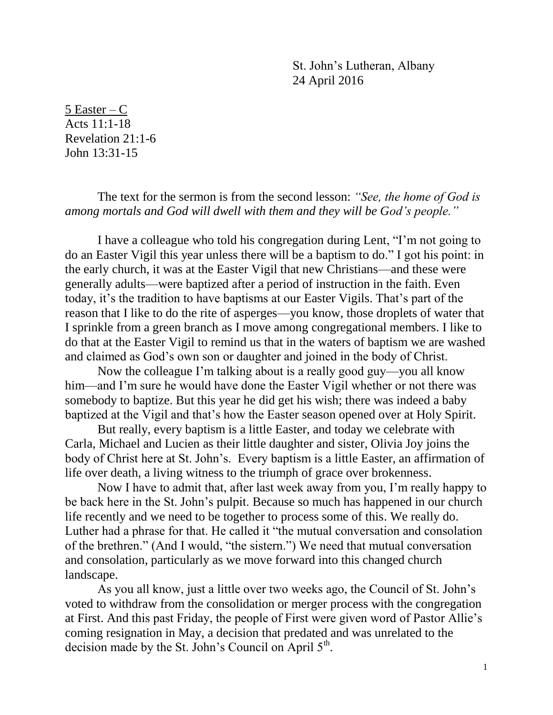St. John's Lutheran, Albany 24 April 2016

5 Easter – C Acts 11:1-18 Revelation 21:1-6 John 13:31-15

The text for the sermon is from the second lesson: *"See, the home of God is among mortals and God will dwell with them and they will be God's people."*

I have a colleague who told his congregation during Lent, "I'm not going to do an Easter Vigil this year unless there will be a baptism to do." I got his point: in the early church, it was at the Easter Vigil that new Christians—and these were generally adults—were baptized after a period of instruction in the faith. Even today, it's the tradition to have baptisms at our Easter Vigils. That's part of the reason that I like to do the rite of asperges—you know, those droplets of water that I sprinkle from a green branch as I move among congregational members. I like to do that at the Easter Vigil to remind us that in the waters of baptism we are washed and claimed as God's own son or daughter and joined in the body of Christ.

Now the colleague I'm talking about is a really good guy—you all know him—and I'm sure he would have done the Easter Vigil whether or not there was somebody to baptize. But this year he did get his wish; there was indeed a baby baptized at the Vigil and that's how the Easter season opened over at Holy Spirit.

But really, every baptism is a little Easter, and today we celebrate with Carla, Michael and Lucien as their little daughter and sister, Olivia Joy joins the body of Christ here at St. John's. Every baptism is a little Easter, an affirmation of life over death, a living witness to the triumph of grace over brokenness.

Now I have to admit that, after last week away from you, I'm really happy to be back here in the St. John's pulpit. Because so much has happened in our church life recently and we need to be together to process some of this. We really do. Luther had a phrase for that. He called it "the mutual conversation and consolation of the brethren." (And I would, "the sistern.") We need that mutual conversation and consolation, particularly as we move forward into this changed church landscape.

As you all know, just a little over two weeks ago, the Council of St. John's voted to withdraw from the consolidation or merger process with the congregation at First. And this past Friday, the people of First were given word of Pastor Allie's coming resignation in May, a decision that predated and was unrelated to the decision made by the St. John's Council on April  $5<sup>th</sup>$ .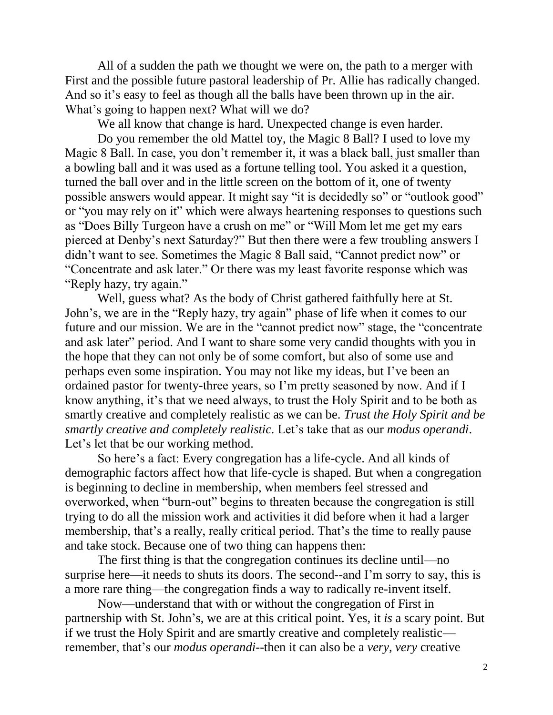All of a sudden the path we thought we were on, the path to a merger with First and the possible future pastoral leadership of Pr. Allie has radically changed. And so it's easy to feel as though all the balls have been thrown up in the air. What's going to happen next? What will we do?

We all know that change is hard. Unexpected change is even harder.

Do you remember the old Mattel toy, the Magic 8 Ball? I used to love my Magic 8 Ball. In case, you don't remember it, it was a black ball, just smaller than a bowling ball and it was used as a fortune telling tool. You asked it a question, turned the ball over and in the little screen on the bottom of it, one of twenty possible answers would appear. It might say "it is decidedly so" or "outlook good" or "you may rely on it" which were always heartening responses to questions such as "Does Billy Turgeon have a crush on me" or "Will Mom let me get my ears pierced at Denby's next Saturday?" But then there were a few troubling answers I didn't want to see. Sometimes the Magic 8 Ball said, "Cannot predict now" or "Concentrate and ask later." Or there was my least favorite response which was "Reply hazy, try again."

Well, guess what? As the body of Christ gathered faithfully here at St. John's, we are in the "Reply hazy, try again" phase of life when it comes to our future and our mission. We are in the "cannot predict now" stage, the "concentrate and ask later" period. And I want to share some very candid thoughts with you in the hope that they can not only be of some comfort, but also of some use and perhaps even some inspiration. You may not like my ideas, but I've been an ordained pastor for twenty-three years, so I'm pretty seasoned by now. And if I know anything, it's that we need always, to trust the Holy Spirit and to be both as smartly creative and completely realistic as we can be. *Trust the Holy Spirit and be smartly creative and completely realistic.* Let's take that as our *modus operandi*. Let's let that be our working method.

So here's a fact: Every congregation has a life-cycle. And all kinds of demographic factors affect how that life-cycle is shaped. But when a congregation is beginning to decline in membership, when members feel stressed and overworked, when "burn-out" begins to threaten because the congregation is still trying to do all the mission work and activities it did before when it had a larger membership, that's a really, really critical period. That's the time to really pause and take stock. Because one of two thing can happens then:

The first thing is that the congregation continues its decline until—no surprise here—it needs to shuts its doors. The second--and I'm sorry to say, this is a more rare thing—the congregation finds a way to radically re-invent itself.

Now—understand that with or without the congregation of First in partnership with St. John's, we are at this critical point. Yes, it *is* a scary point. But if we trust the Holy Spirit and are smartly creative and completely realistic remember, that's our *modus operandi*--then it can also be a *very, very* creative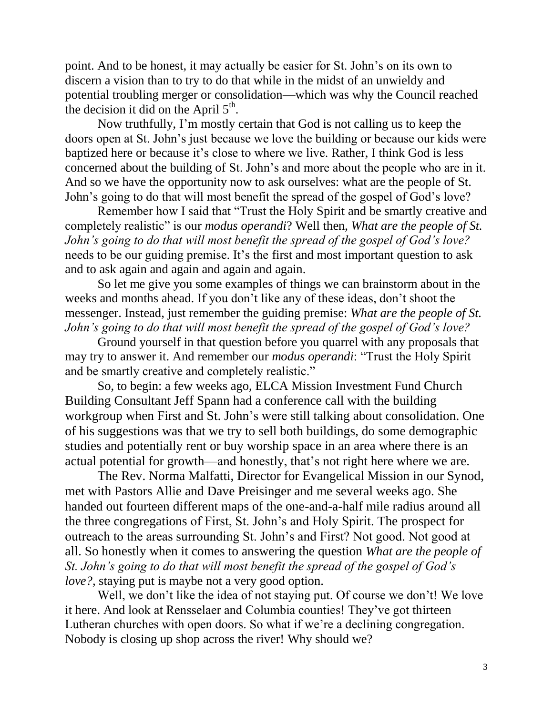point. And to be honest, it may actually be easier for St. John's on its own to discern a vision than to try to do that while in the midst of an unwieldy and potential troubling merger or consolidation—which was why the Council reached the decision it did on the April  $5<sup>th</sup>$ .

Now truthfully, I'm mostly certain that God is not calling us to keep the doors open at St. John's just because we love the building or because our kids were baptized here or because it's close to where we live. Rather, I think God is less concerned about the building of St. John's and more about the people who are in it. And so we have the opportunity now to ask ourselves: what are the people of St. John's going to do that will most benefit the spread of the gospel of God's love?

Remember how I said that "Trust the Holy Spirit and be smartly creative and completely realistic" is our *modus operandi*? Well then, *What are the people of St. John's going to do that will most benefit the spread of the gospel of God's love?* needs to be our guiding premise. It's the first and most important question to ask and to ask again and again and again and again.

So let me give you some examples of things we can brainstorm about in the weeks and months ahead. If you don't like any of these ideas, don't shoot the messenger. Instead, just remember the guiding premise: *What are the people of St. John's going to do that will most benefit the spread of the gospel of God's love?*

Ground yourself in that question before you quarrel with any proposals that may try to answer it. And remember our *modus operandi*: "Trust the Holy Spirit and be smartly creative and completely realistic."

So, to begin: a few weeks ago, ELCA Mission Investment Fund Church Building Consultant Jeff Spann had a conference call with the building workgroup when First and St. John's were still talking about consolidation. One of his suggestions was that we try to sell both buildings, do some demographic studies and potentially rent or buy worship space in an area where there is an actual potential for growth—and honestly, that's not right here where we are.

The Rev. Norma Malfatti, Director for Evangelical Mission in our Synod, met with Pastors Allie and Dave Preisinger and me several weeks ago. She handed out fourteen different maps of the one-and-a-half mile radius around all the three congregations of First, St. John's and Holy Spirit. The prospect for outreach to the areas surrounding St. John's and First? Not good. Not good at all. So honestly when it comes to answering the question *What are the people of St. John's going to do that will most benefit the spread of the gospel of God's love?*, staying put is maybe not a very good option.

Well, we don't like the idea of not staying put. Of course we don't! We love it here. And look at Rensselaer and Columbia counties! They've got thirteen Lutheran churches with open doors. So what if we're a declining congregation. Nobody is closing up shop across the river! Why should we?